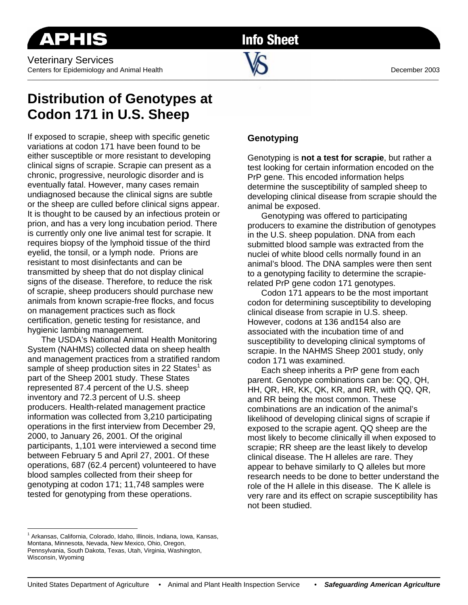**Info Sheet** 

 $\blacksquare$ 

# **Distribution of Genotypes at Codon 171 in U.S. Sheep**

If exposed to scrapie, sheep with specific genetic variations at codon 171 have been found to be either susceptible or more resistant to developing clinical signs of scrapie. Scrapie can present as a chronic, progressive, neurologic disorder and is eventually fatal. However, many cases remain undiagnosed because the clinical signs are subtle or the sheep are culled before clinical signs appear. It is thought to be caused by an infectious protein or prion, and has a very long incubation period. There is currently only one live animal test for scrapie. It requires biopsy of the lymphoid tissue of the third eyelid, the tonsil, or a lymph node. Prions are resistant to most disinfectants and can be transmitted by sheep that do not display clinical signs of the disease. Therefore, to reduce the risk of scrapie, sheep producers should purchase new animals from known scrapie-free flocks, and focus on management practices such as flock certification, genetic testing for resistance, and hygienic lambing management.

The USDA's National Animal Health Monitoring System (NAHMS) collected data on sheep health and management practices from a stratified random sample of sheep production sites in 22 States<sup>1</sup> as part of the Sheep 2001 study. These States represented 87.4 percent of the U.S. sheep inventory and 72.3 percent of U.S. sheep producers. Health-related management practice information was collected from 3,210 participating operations in the first interview from December 29, 2000, to January 26, 2001. Of the original participants, 1,101 were interviewed a second time between February 5 and April 27, 2001. Of these operations, 687 (62.4 percent) volunteered to have blood samples collected from their sheep for genotyping at codon 171; 11,748 samples were tested for genotyping from these operations.

## **Genotyping**

Genotyping is **not a test for scrapie**, but rather a test looking for certain information encoded on the PrP gene. This encoded information helps determine the susceptibility of sampled sheep to developing clinical disease from scrapie should the animal be exposed.

Genotyping was offered to participating producers to examine the distribution of genotypes in the U.S. sheep population. DNA from each submitted blood sample was extracted from the nuclei of white blood cells normally found in an animal's blood. The DNA samples were then sent to a genotyping facility to determine the scrapierelated PrP gene codon 171 genotypes.

Codon 171 appears to be the most important codon for determining susceptibility to developing clinical disease from scrapie in U.S. sheep. However, codons at 136 and154 also are associated with the incubation time of and susceptibility to developing clinical symptoms of scrapie. In the NAHMS Sheep 2001 study, only codon 171 was examined.

Each sheep inherits a PrP gene from each parent. Genotype combinations can be: QQ, QH, HH, QR, HR, KK, QK, KR, and RR, with QQ, QR, and RR being the most common. These combinations are an indication of the animal's likelihood of developing clinical signs of scrapie if exposed to the scrapie agent. QQ sheep are the most likely to become clinically ill when exposed to scrapie; RR sheep are the least likely to develop clinical disease. The H alleles are rare. They appear to behave similarly to Q alleles but more research needs to be done to better understand the role of the H allele in this disease. The K allele is very rare and its effect on scrapie susceptibility has not been studied.

 $\overline{a}$ <sup>1</sup> Arkansas, California, Colorado, Idaho, Illinois, Indiana, Iowa, Kansas, Montana, Minnesota, Nevada, New Mexico, Ohio, Oregon, Pennsylvania, South Dakota, Texas, Utah, Virginia, Washington, Wisconsin, Wyoming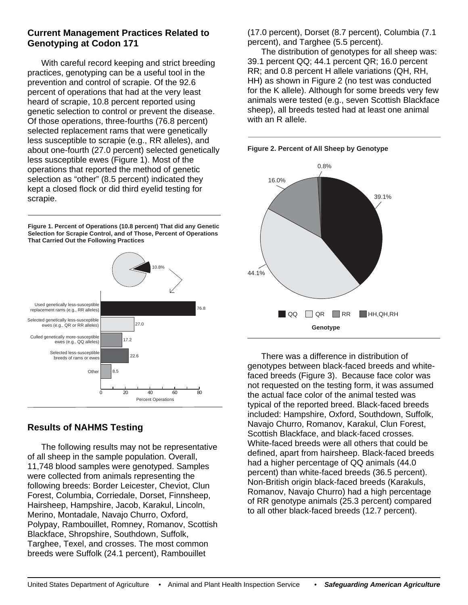#### **Current Management Practices Related to Genotyping at Codon 171**

With careful record keeping and strict breeding practices, genotyping can be a useful tool in the prevention and control of scrapie. Of the 92.6 percent of operations that had at the very least heard of scrapie, 10.8 percent reported using genetic selection to control or prevent the disease. Of those operations, three-fourths (76.8 percent) selected replacement rams that were genetically less susceptible to scrapie (e.g., RR alleles), and about one-fourth (27.0 percent) selected genetically less susceptible ewes (Figure 1). Most of the operations that reported the method of genetic selection as "other" (8.5 percent) indicated they kept a closed flock or did third eyelid testing for scrapie.

**Figure 1. Percent of Operations (10.8 percent) That did any Genetic Selection for Scrapie Control, and of Those, Percent of Operations That Carried Out the Following Practices**



### **Results of NAHMS Testing**

The following results may not be representative of all sheep in the sample population. Overall, 11,748 blood samples were genotyped. Samples were collected from animals representing the following breeds: Border Leicester, Cheviot, Clun Forest, Columbia, Corriedale, Dorset, Finnsheep, Hairsheep, Hampshire, Jacob, Karakul, Lincoln, Merino, Montadale, Navajo Churro, Oxford, Polypay, Rambouillet, Romney, Romanov, Scottish Blackface, Shropshire, Southdown, Suffolk, Targhee, Texel, and crosses. The most common breeds were Suffolk (24.1 percent), Rambouillet

(17.0 percent), Dorset (8.7 percent), Columbia (7.1 percent), and Targhee (5.5 percent).

The distribution of genotypes for all sheep was: 39.1 percent QQ; 44.1 percent QR; 16.0 percent RR; and 0.8 percent H allele variations (QH, RH, HH) as shown in Figure 2 (no test was conducted for the K allele). Although for some breeds very few animals were tested (e.g., seven Scottish Blackface sheep), all breeds tested had at least one animal with an R allele.

**Figure 2. Percent of All Sheep by Genotype**



There was a difference in distribution of genotypes between black-faced breeds and whitefaced breeds (Figure 3). Because face color was not requested on the testing form, it was assumed the actual face color of the animal tested was typical of the reported breed. Black-faced breeds included: Hampshire, Oxford, Southdown, Suffolk, Navajo Churro, Romanov, Karakul, Clun Forest, Scottish Blackface, and black-faced crosses. White-faced breeds were all others that could be defined, apart from hairsheep. Black-faced breeds had a higher percentage of QQ animals (44.0 percent) than white-faced breeds (36.5 percent). Non-British origin black-faced breeds (Karakuls, Romanov, Navajo Churro) had a high percentage of RR genotype animals (25.3 percent) compared to all other black-faced breeds (12.7 percent).